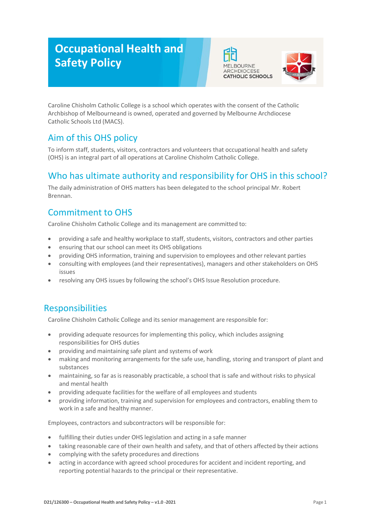# **Occupational Health and Safety Policy**





Caroline Chisholm Catholic College is a school which operates with the consent of the Catholic Archbishop of Melbourneand is owned, operated and governed by Melbourne Archdiocese Catholic Schools Ltd (MACS).

## Aim of this OHS policy

To inform staff, students, visitors, contractors and volunteers that occupational health and safety (OHS) is an integral part of all operations at Caroline Chisholm Catholic College.

## Who has ultimate authority and responsibility for OHS in this school?

The daily administration of OHS matters has been delegated to the school principal Mr. Robert Brennan.

## Commitment to OHS

Caroline Chisholm Catholic College and its management are committed to:

- providing a safe and healthy workplace to staff, students, visitors, contractors and other parties
- ensuring that our school can meet its OHS obligations
- providing OHS information, training and supervision to employees and other relevant parties
- consulting with employees (and their representatives), managers and other stakeholders on OHS issues
- resolving any OHS issues by following the school's OHS Issue Resolution procedure.

### Responsibilities

Caroline Chisholm Catholic College and its senior management are responsible for:

- providing adequate resources for implementing this policy, which includes assigning responsibilities for OHS duties
- providing and maintaining safe plant and systems of work
- making and monitoring arrangements for the safe use, handling, storing and transport of plant and substances
- maintaining, so far as is reasonably practicable, a school that is safe and without risks to physical and mental health
- providing adequate facilities for the welfare of all employees and students
- providing information, training and supervision for employees and contractors, enabling them to work in a safe and healthy manner.

Employees, contractors and subcontractors will be responsible for:

- fulfilling their duties under OHS legislation and acting in a safe manner
- taking reasonable care of their own health and safety, and that of others affected by their actions
- complying with the safety procedures and directions
- acting in accordance with agreed school procedures for accident and incident reporting, and reporting potential hazards to the principal or their representative.